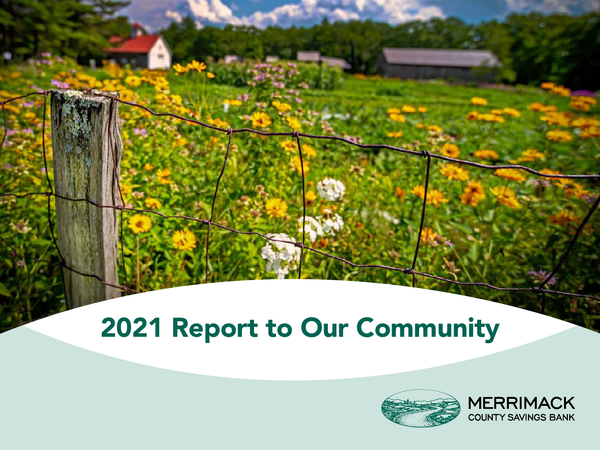# 2021 Report to Our Community



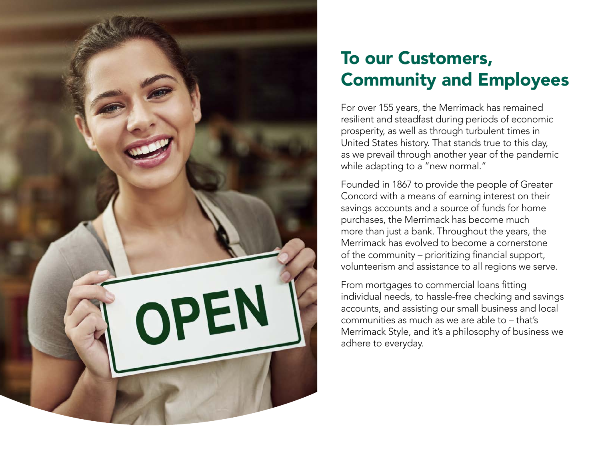

### To our Customers, Community and Employees

For over 155 years, the Merrimack has remained resilient and steadfast during periods of economic prosperity, as well as through turbulent times in United States history. That stands true to this day, as we prevail through another year of the pandemic while adapting to a "new normal."

Founded in 1867 to provide the people of Greater Concord with a means of earning interest on their savings accounts and a source of funds for home purchases, the Merrimack has become much more than just a bank. Throughout the years, the Merrimack has evolved to become a cornerstone of the community – prioritizing financial support, volunteerism and assistance to all regions we serve.

From mortgages to commercial loans fitting individual needs, to hassle-free checking and savings accounts, and assisting our small business and local communities as much as we are able to – that's Merrimack Style, and it's a philosophy of business we adhere to everyday.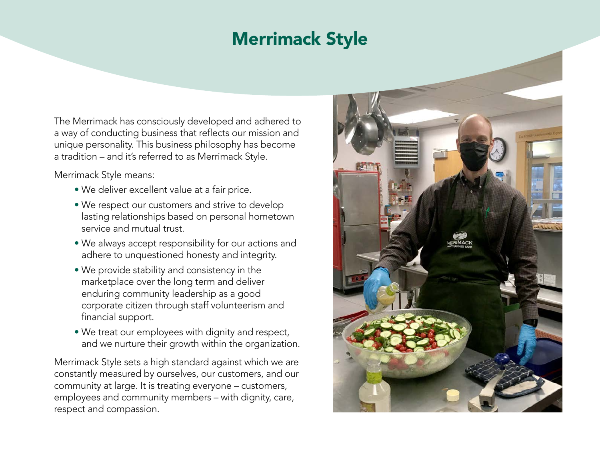### Merrimack Style

The Merrimack has consciously developed and adhered to a way of conducting business that reflects our mission and unique personality. This business philosophy has become a tradition – and it's referred to as Merrimack Style.

Merrimack Style means:

- We deliver excellent value at a fair price.
- We respect our customers and strive to develop lasting relationships based on personal hometown service and mutual trust.
- We always accept responsibility for our actions and adhere to unquestioned honesty and integrity.
- We provide stability and consistency in the marketplace over the long term and deliver enduring community leadership as a good corporate citizen through staff volunteerism and financial support.
- We treat our employees with dignity and respect, and we nurture their growth within the organization.

Merrimack Style sets a high standard against which we are constantly measured by ourselves, our customers, and our community at large. It is treating everyone – customers, employees and community members – with dignity, care, respect and compassion.

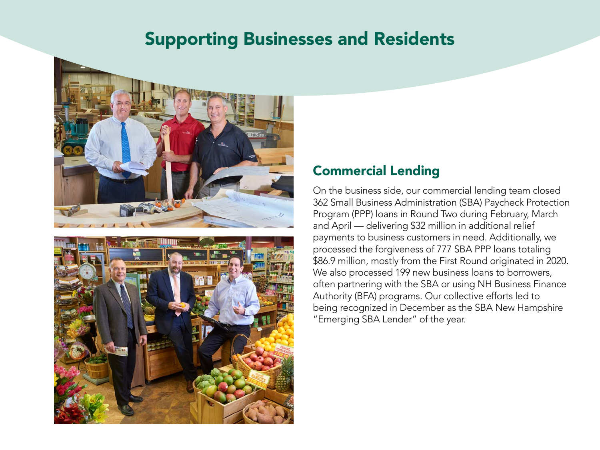### Supporting Businesses and Residents



![](_page_3_Picture_2.jpeg)

#### Commercial Lending

On the business side, our commercial lending team closed 362 Small Business Administration (SBA) Paycheck Protection Program (PPP) loans in Round Two during February, March and April — delivering \$32 million in additional relief payments to business customers in need. Additionally, we processed the forgiveness of 777 SBA PPP loans totaling \$86.9 million, mostly from the First Round originated in 2020. We also processed 199 new business loans to borrowers, often partnering with the SBA or using NH Business Finance Authority (BFA) programs. Our collective efforts led to being recognized in December as the SBA New Hampshire "Emerging SBA Lender" of the year.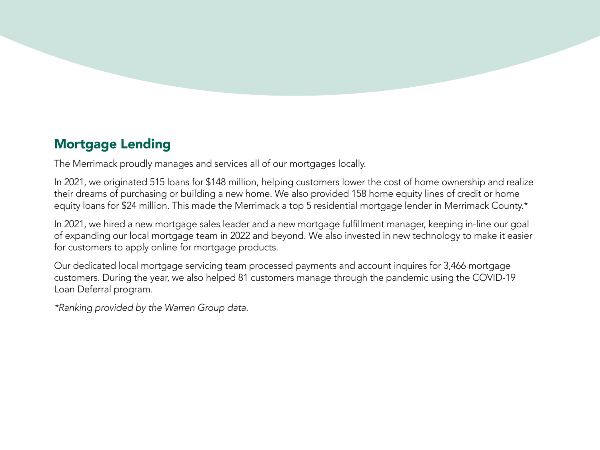### Mortgage Lending

The Merrimack proudly manages and services all of our mortgages locally.

In 2021, we originated 515 loans for \$148 million, helping customers lower the cost of home ownership and realize their dreams of purchasing or building a new home. We also provided 158 home equity lines of credit or home equity loans for \$24 million. This made the Merrimack a top 5 residential mortgage lender in Merrimack County.\*

In 2021, we hired a new mortgage sales leader and a new mortgage fulfillment manager, keeping in-line our goal of expanding our local mortgage team in 2022 and beyond. We also invested in new technology to make it easier for customers to apply online for mortgage products.

Our dedicated local mortgage servicing team processed payments and account inquires for 3,466 mortgage customers. During the year, we also helped 81 customers manage through the pandemic using the COVID-19 Loan Deferral program.

*\*Ranking provided by the Warren Group data.*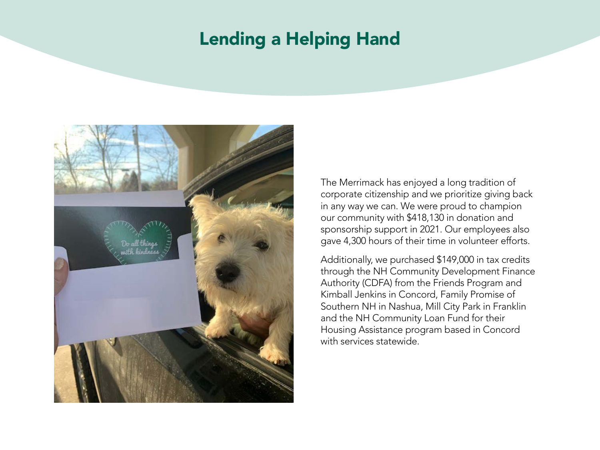### Lending a Helping Hand

![](_page_5_Picture_1.jpeg)

The Merrimack has enjoyed a long tradition of corporate citizenship and we prioritize giving back in any way we can. We were proud to champion our community with \$418,130 in donation and sponsorship support in 2021. Our employees also gave 4,300 hours of their time in volunteer efforts.

Additionally, we purchased \$149,000 in tax credits through the NH Community Development Finance Authority (CDFA) from the Friends Program and Kimball Jenkins in Concord, Family Promise of Southern NH in Nashua, Mill City Park in Franklin and the NH Community Loan Fund for their Housing Assistance program based in Concord with services statewide.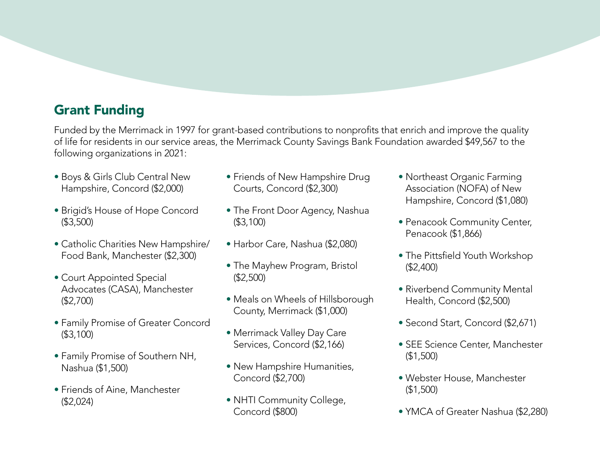#### Grant Funding

Funded by the Merrimack in 1997 for grant-based contributions to nonprofits that enrich and improve the quality of life for residents in our service areas, the Merrimack County Savings Bank Foundation awarded \$49,567 to the following organizations in 2021:

- Boys & Girls Club Central New Hampshire, Concord (\$2,000)
- Brigid's House of Hope Concord (\$3,500)
- Catholic Charities New Hampshire/ Food Bank, Manchester (\$2,300)
- Court Appointed Special Advocates (CASA), Manchester (\$2,700)
- Family Promise of Greater Concord (\$3,100)
- Family Promise of Southern NH, Nashua (\$1,500)
- Friends of Aine, Manchester (\$2,024)
- Friends of New Hampshire Drug Courts, Concord (\$2,300)
- The Front Door Agency, Nashua (\$3,100)
- Harbor Care, Nashua (\$2,080)
- The Mayhew Program, Bristol (\$2,500)
- Meals on Wheels of Hillsborough County, Merrimack (\$1,000)
- Merrimack Valley Day Care Services, Concord (\$2,166)
- New Hampshire Humanities, Concord (\$2,700)
- NHTI Community College, Concord (\$800)
- Northeast Organic Farming Association (NOFA) of New Hampshire, Concord (\$1,080)
- Penacook Community Center, Penacook (\$1,866)
- The Pittsfield Youth Workshop (\$2,400)
- Riverbend Community Mental Health, Concord (\$2,500)
- Second Start, Concord (\$2,671)
- SEE Science Center, Manchester (\$1,500)
- Webster House, Manchester (\$1,500)
- YMCA of Greater Nashua (\$2,280)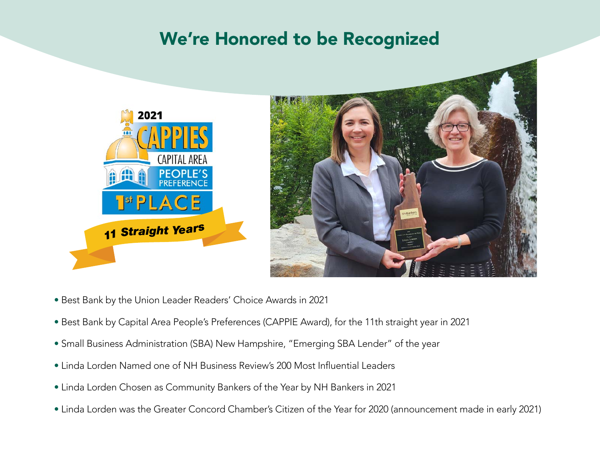### We're Honored to be Recognized

![](_page_7_Picture_1.jpeg)

- Best Bank by the Union Leader Readers' Choice Awards in 2021
- Best Bank by Capital Area People's Preferences (CAPPIE Award), for the 11th straight year in 2021
- Small Business Administration (SBA) New Hampshire, "Emerging SBA Lender" of the year
- Linda Lorden Named one of NH Business Review's 200 Most Influential Leaders
- Linda Lorden Chosen as Community Bankers of the Year by NH Bankers in 2021
- Linda Lorden was the Greater Concord Chamber's Citizen of the Year for 2020 (announcement made in early 2021)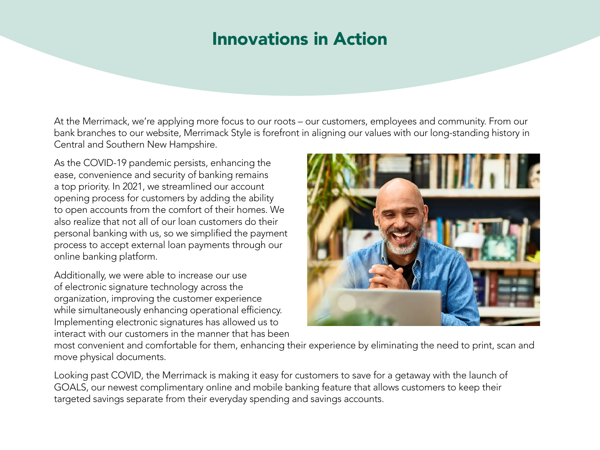### Innovations in Action

At the Merrimack, we're applying more focus to our roots – our customers, employees and community. From our bank branches to our website, Merrimack Style is forefront in aligning our values with our long-standing history in Central and Southern New Hampshire.

As the COVID-19 pandemic persists, enhancing the ease, convenience and security of banking remains a top priority. In 2021, we streamlined our account opening process for customers by adding the ability to open accounts from the comfort of their homes. We also realize that not all of our loan customers do their personal banking with us, so we simplified the payment process to accept external loan payments through our online banking platform.

Additionally, we were able to increase our use of electronic signature technology across the organization, improving the customer experience while simultaneously enhancing operational efficiency. Implementing electronic signatures has allowed us to interact with our customers in the manner that has been

![](_page_8_Picture_4.jpeg)

most convenient and comfortable for them, enhancing their experience by eliminating the need to print, scan and move physical documents.

Looking past COVID, the Merrimack is making it easy for customers to save for a getaway with the launch of GOALS, our newest complimentary online and mobile banking feature that allows customers to keep their targeted savings separate from their everyday spending and savings accounts.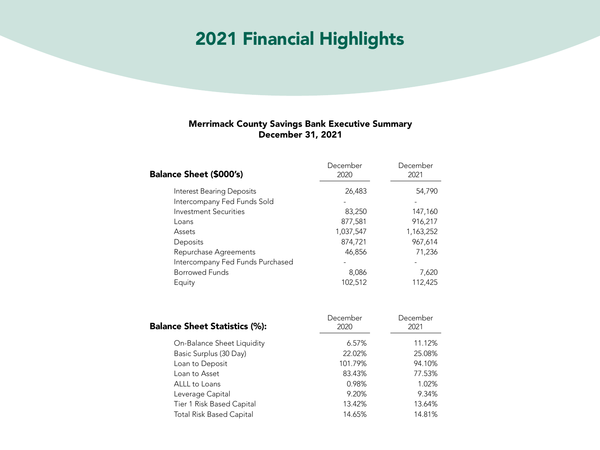### 2021 Financial Highlights

#### Merrimack County Savings Bank Executive Summary December 31, 2021

| <b>Balance Sheet (\$000's)</b>   | December<br>2020 | December<br>2021 |
|----------------------------------|------------------|------------------|
| <b>Interest Bearing Deposits</b> | 26,483           | 54,790           |
| Intercompany Fed Funds Sold      |                  |                  |
| <b>Investment Securities</b>     | 83,250           | 147,160          |
| Loans                            | 877,581          | 916,217          |
| Assets                           | 1,037,547        | 1,163,252        |
| Deposits                         | 874,721          | 967,614          |
| Repurchase Agreements            | 46,856           | 71,236           |
| Intercompany Fed Funds Purchased |                  |                  |
| Borrowed Funds                   | 8,086            | 7,620            |
| Equity                           | 102,512          | 112,425          |

| <b>Balance Sheet Statistics (%):</b> | December<br>2020 | December<br>2021 |
|--------------------------------------|------------------|------------------|
| On-Balance Sheet Liquidity           | 6.57%            | 11.12%           |
| Basic Surplus (30 Day)               | 22.02%           | 25.08%           |
| Loan to Deposit                      | 101.79%          | 94.10%           |
| Loan to Asset                        | 83.43%           | 77.53%           |
| ALLL to Loans                        | 0.98%            | 1.02%            |
| Leverage Capital                     | 9.20%            | 9.34%            |
| Tier 1 Risk Based Capital            | 13.42%           | 13.64%           |
| <b>Total Risk Based Capital</b>      | 14.65%           | 14.81%           |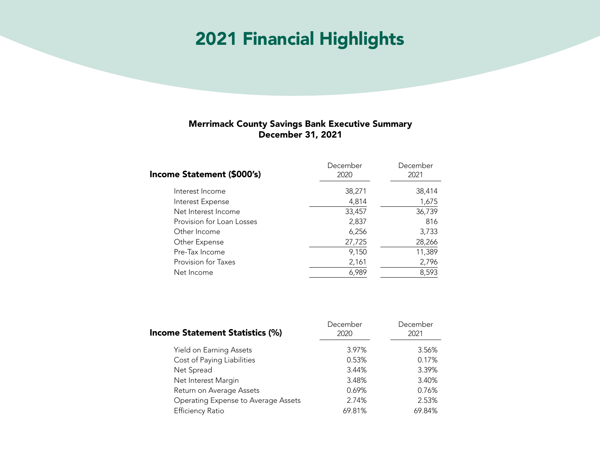### 2021 Financial Highlights

#### Merrimack County Savings Bank Executive Summary December 31, 2021

| December<br>2020 | December<br>2021 |
|------------------|------------------|
| 38,271           | 38,414           |
| 4,814            | 1,675            |
| 33,457           | 36,739           |
| 2,837            | 816              |
| 6,256            | 3,733            |
| 27,725           | 28,266           |
| 9,150            | 11,389           |
| 2,161            | 2,796            |
| 6,989            | 8,593            |
|                  |                  |

| <b>Income Statement Statistics (%)</b> | December<br>2020 | December<br>2021 |
|----------------------------------------|------------------|------------------|
| Yield on Earning Assets                | 3.97%            | 3.56%            |
| Cost of Paying Liabilities             | 0.53%            | 0.17%            |
| Net Spread                             | 3.44%            | 3.39%            |
| Net Interest Margin                    | 3.48%            | 3.40%            |
| Return on Average Assets               | 0.69%            | 0.76%            |
| Operating Expense to Average Assets    | 2.74%            | 2.53%            |
| <b>Efficiency Ratio</b>                | 69.81%           | 69.84%           |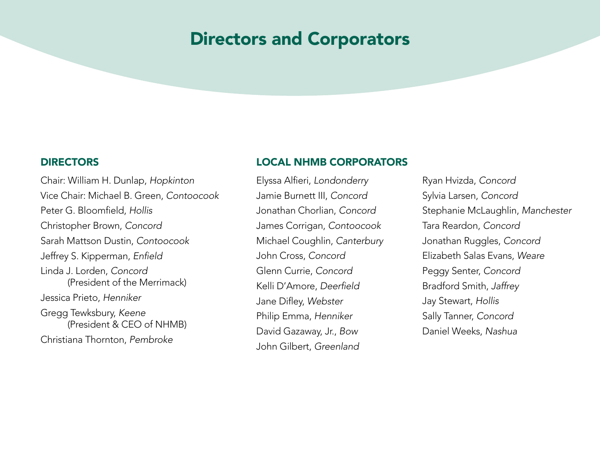### Directors and Corporators

Chair: William H. Dunlap, *Hopkinton* Vice Chair: Michael B. Green, *Contoocook*  Peter G. Bloomfield, *Hollis* Christopher Brown, *Concord* Sarah Mattson Dustin, *Contoocook* Jeffrey S. Kipperman, Enfield Linda J. Lorden, *Concord* (President of the Merrimack) Jessica Prieto, *Henniker* Gregg Tewksbury, *Keene* (President & CEO of NHMB) Christiana Thornton, *Pembroke*

#### DIRECTORS LOCAL NHMB CORPORATORS

Elyssa Alfieri, *Londonderry* Jamie Burnett III, *Concord*  Jonathan Chorlian, *Concord* James Corrigan, *Contoocook* Michael Coughlin, *Canterbury* John Cross, *Concord* Glenn Currie, *Concord* Kelli D'Amore, Deerfield Jane Difley, *Webster* Philip Emma, *Henniker* David Gazaway, Jr., *Bow* John Gilbert, *Greenland*

Ryan Hvizda, *Concord* Sylvia Larsen, *Concord* Stephanie McLaughlin, *Manchester* Tara Reardon, *Concord* Jonathan Ruggles, *Concord* Elizabeth Salas Evans, *Weare* Peggy Senter, *Concord* Bradford Smith, *Jaffrey* Jay Stewart, *Hollis* Sally Tanner, *Concord* Daniel Weeks, *Nashua*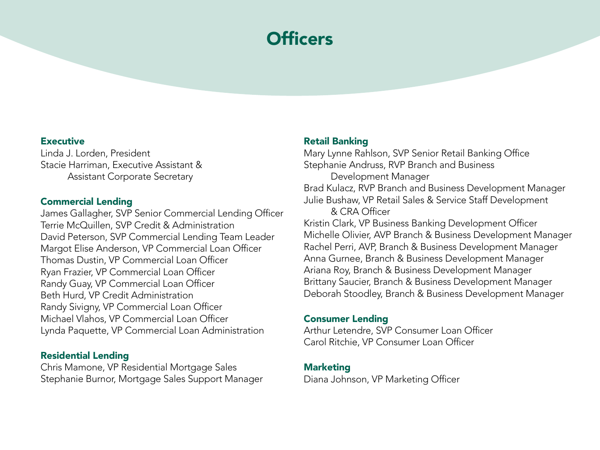## **Officers**

#### **Executive**

Linda J. Lorden, President Stacie Harriman, Executive Assistant & Assistant Corporate Secretary

#### Commercial Lending

James Gallagher, SVP Senior Commercial Lending Officer Terrie McQuillen, SVP Credit & Administration David Peterson, SVP Commercial Lending Team Leader Margot Elise Anderson, VP Commercial Loan Officer Thomas Dustin, VP Commercial Loan Officer Ryan Frazier, VP Commercial Loan Officer Randy Guay, VP Commercial Loan Officer Beth Hurd, VP Credit Administration Randy Sivigny, VP Commercial Loan Officer Michael Vlahos, VP Commercial Loan Officer Lynda Paquette, VP Commercial Loan Administration

#### Residential Lending

Chris Mamone, VP Residential Mortgage Sales Stephanie Burnor, Mortgage Sales Support Manager

#### Retail Banking

Mary Lynne Rahlson, SVP Senior Retail Banking Office Stephanie Andruss, RVP Branch and Business Development Manager Brad Kulacz, RVP Branch and Business Development Manager Julie Bushaw, VP Retail Sales & Service Staff Development & CRA Officer Kristin Clark, VP Business Banking Development Officer Michelle Olivier, AVP Branch & Business Development Manager Rachel Perri, AVP, Branch & Business Development Manager Anna Gurnee, Branch & Business Development Manager Ariana Roy, Branch & Business Development Manager

Brittany Saucier, Branch & Business Development Manager Deborah Stoodley, Branch & Business Development Manager

#### Consumer Lending

Arthur Letendre, SVP Consumer Loan Officer Carol Ritchie, VP Consumer Loan Officer

#### Marketing

Diana Johnson, VP Marketing Officer